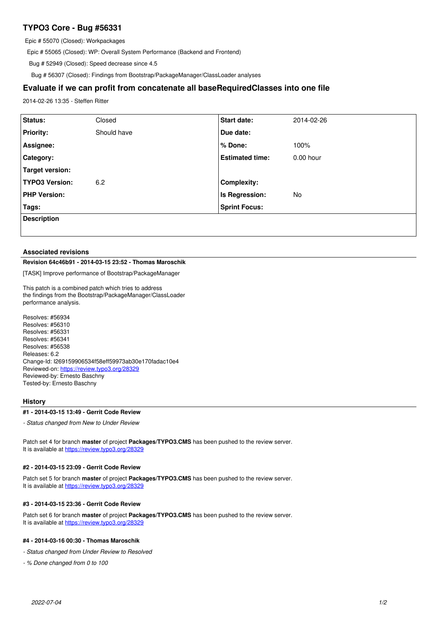# **TYPO3 Core - Bug #56331**

Epic # 55070 (Closed): Workpackages

Epic # 55065 (Closed): WP: Overall System Performance (Backend and Frontend)

Bug # 52949 (Closed): Speed decrease since 4.5

Bug # 56307 (Closed): Findings from Bootstrap/PackageManager/ClassLoader analyses

# **Evaluate if we can profit from concatenate all baseRequiredClasses into one file**

2014-02-26 13:35 - Steffen Ritter

| Status:               | Closed      | <b>Start date:</b>     | 2014-02-26  |
|-----------------------|-------------|------------------------|-------------|
| <b>Priority:</b>      | Should have | Due date:              |             |
| Assignee:             |             | % Done:                | 100%        |
| Category:             |             | <b>Estimated time:</b> | $0.00$ hour |
| Target version:       |             |                        |             |
| <b>TYPO3 Version:</b> | 6.2         | <b>Complexity:</b>     |             |
| <b>PHP Version:</b>   |             | Is Regression:         | No          |
| Tags:                 |             | <b>Sprint Focus:</b>   |             |
| <b>Description</b>    |             |                        |             |
|                       |             |                        |             |

#### **Associated revisions**

# **Revision 64c46b91 - 2014-03-15 23:52 - Thomas Maroschik**

[TASK] Improve performance of Bootstrap/PackageManager

This patch is a combined patch which tries to address the findings from the Bootstrap/PackageManager/ClassLoader performance analysis.

Resolves: #56934 Resolves: #56310 Resolves: #56331 Resolves: #56341 Resolves: #56538 Releases: 6.2 Change-Id: I269159906534f58eff59973ab30e170fadac10e4 Reviewed-on:<https://review.typo3.org/28329> Reviewed-by: Ernesto Baschny Tested-by: Ernesto Baschny

### **History**

#### **#1 - 2014-03-15 13:49 - Gerrit Code Review**

*- Status changed from New to Under Review*

Patch set 4 for branch **master** of project **Packages/TYPO3.CMS** has been pushed to the review server. It is available at <https://review.typo3.org/28329>

#### **#2 - 2014-03-15 23:09 - Gerrit Code Review**

Patch set 5 for branch **master** of project **Packages/TYPO3.CMS** has been pushed to the review server. It is available at <https://review.typo3.org/28329>

#### **#3 - 2014-03-15 23:36 - Gerrit Code Review**

Patch set 6 for branch **master** of project **Packages/TYPO3.CMS** has been pushed to the review server. It is available at <https://review.typo3.org/28329>

# **#4 - 2014-03-16 00:30 - Thomas Maroschik**

*- Status changed from Under Review to Resolved*

*- % Done changed from 0 to 100*